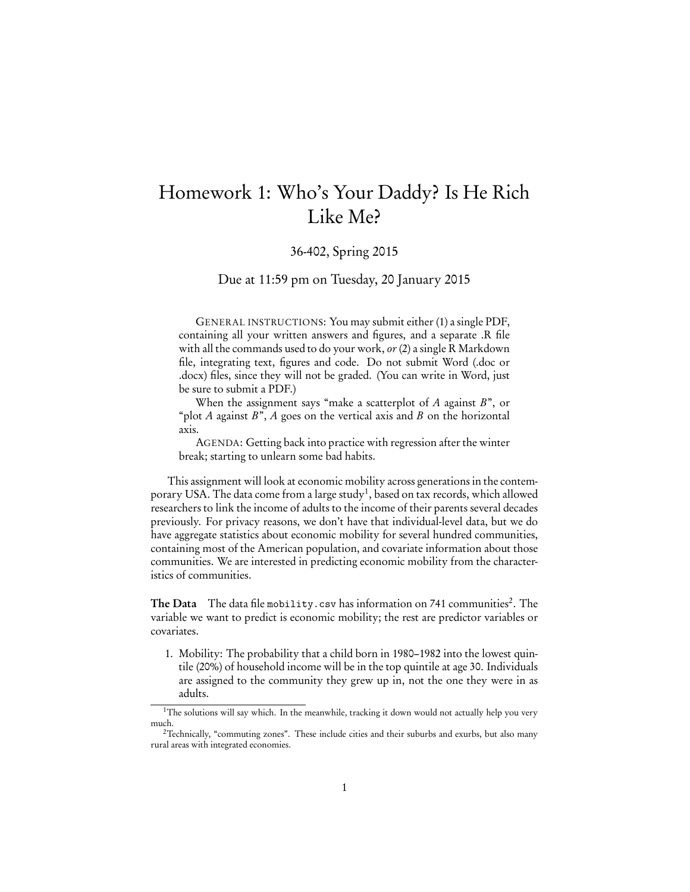## Homework 1: Who's Your Daddy? Is He Rich Like Me?

## 36-402, Spring 2015

Due at 11:59 pm on Tuesday, 20 January 2015

GENERAL INSTRUCTIONS: You may submit either (1) a single PDF, containing all your written answers and figures, and a separate .R file with all the commands used to do your work, or (2) a single R Markdown file, integrating text, figures and code. Do not submit Word (.doc or .docx) files, since they will not be graded. (You can write in Word, just be sure to submit a PDF.)

When the assignment says "make a scatterplot of  $A$  against  $B$ ", or "plot A against  $B$ ", A goes on the vertical axis and B on the horizontal axis.

AGENDA: Getting back into practice with regression after the winter break; starting to unlearn some bad habits.

This assignment will look at economic mobility across generations in the contemporary USA. The data come from a large study<sup>1</sup>, based on tax records, which allowed researchers to link the income of adults to the income of their parents several decades previously. For privacy reasons, we don't have that individual-level data, but we do have aggregate statistics about economic mobility for several hundred communities, containing most of the American population, and covariate information about those communities. We are interested in predicting economic mobility from the characteristics of communities.

The Data  $\,$  The data file mobility.csv has information on 741 communities $^2.$  The  $\,$ variable we want to predict is economic mobility; the rest are predictor variables or covariates.

1. Mobility: The probability that a child born in 1980–1982 into the lowest quintile (20%) of household income will be in the top quintile at age 30. Individuals are assigned to the community they grew up in, not the one they were in as adults.

<sup>&</sup>lt;sup>1</sup>The solutions will say which. In the meanwhile, tracking it down would not actually help you very much.

<sup>&</sup>lt;sup>2</sup>Technically, "commuting zones". These include cities and their suburbs and exurbs, but also many rural areas with integrated economies.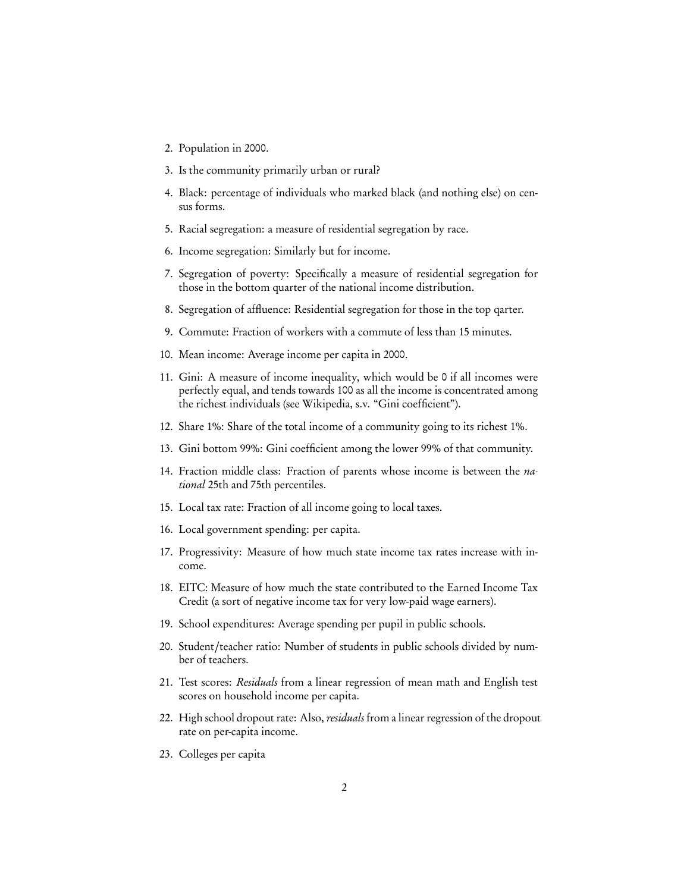- 2. Population in 2000.
- 3. Is the community primarily urban or rural?
- 4. Black: percentage of individuals who marked black (and nothing else) on census forms.
- 5. Racial segregation: a measure of residential segregation by race.
- 6. Income segregation: Similarly but for income.
- 7. Segregation of poverty: Specifically a measure of residential segregation for those in the bottom quarter of the national income distribution.
- 8. Segregation of affluence: Residential segregation for those in the top qarter.
- 9. Commute: Fraction of workers with a commute of less than 15 minutes.
- 10. Mean income: Average income per capita in 2000.
- 11. Gini: A measure of income inequality, which would be 0 if all incomes were perfectly equal, and tends towards 100 as all the income is concentrated among the richest individuals (see Wikipedia, s.v. "Gini coefficient").
- 12. Share 1%: Share of the total income of a community going to its richest 1%.
- 13. Gini bottom 99%: Gini coefficient among the lower 99% of that community.
- 14. Fraction middle class: Fraction of parents whose income is between the national 25th and 75th percentiles.
- 15. Local tax rate: Fraction of all income going to local taxes.
- 16. Local government spending: per capita.
- 17. Progressivity: Measure of how much state income tax rates increase with income.
- 18. EITC: Measure of how much the state contributed to the Earned Income Tax Credit (a sort of negative income tax for very low-paid wage earners).
- 19. School expenditures: Average spending per pupil in public schools.
- 20. Student/teacher ratio: Number of students in public schools divided by number of teachers.
- 21. Test scores: Residuals from a linear regression of mean math and English test scores on household income per capita.
- 22. High school dropout rate: Also, *residuals* from a linear regression of the dropout rate on per-capita income.
- 23. Colleges per capita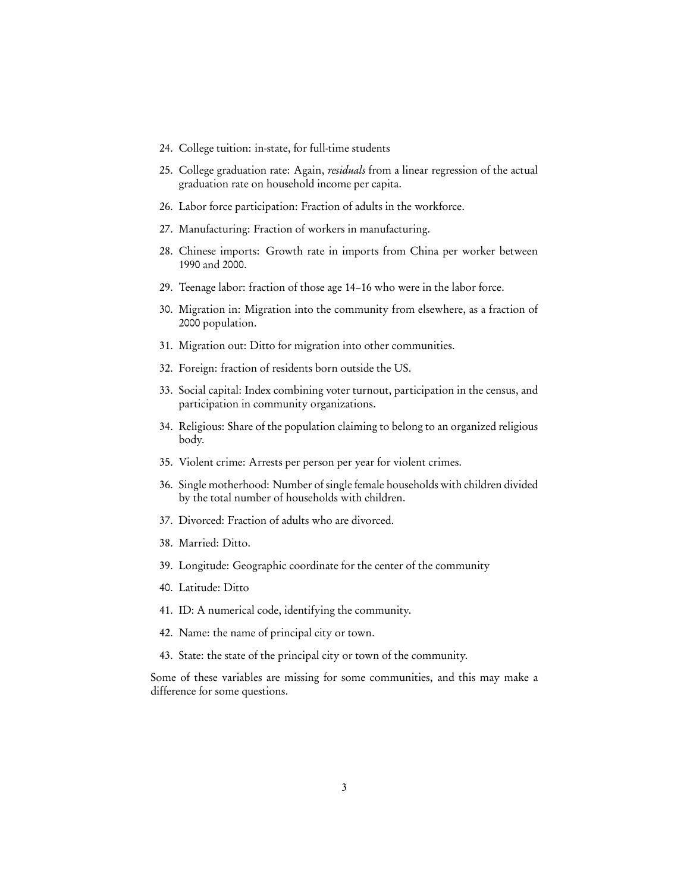- 24. College tuition: in-state, for full-time students
- 25. College graduation rate: Again, residuals from a linear regression of the actual graduation rate on household income per capita.
- 26. Labor force participation: Fraction of adults in the workforce.
- 27. Manufacturing: Fraction of workers in manufacturing.
- 28. Chinese imports: Growth rate in imports from China per worker between 1990 and 2000.
- 29. Teenage labor: fraction of those age 14–16 who were in the labor force.
- 30. Migration in: Migration into the community from elsewhere, as a fraction of 2000 population.
- 31. Migration out: Ditto for migration into other communities.
- 32. Foreign: fraction of residents born outside the US.
- 33. Social capital: Index combining voter turnout, participation in the census, and participation in community organizations.
- 34. Religious: Share of the population claiming to belong to an organized religious body.
- 35. Violent crime: Arrests per person per year for violent crimes.
- 36. Single motherhood: Number of single female households with children divided by the total number of households with children.
- 37. Divorced: Fraction of adults who are divorced.
- 38. Married: Ditto.
- 39. Longitude: Geographic coordinate for the center of the community
- 40. Latitude: Ditto
- 41. ID: A numerical code, identifying the community.
- 42. Name: the name of principal city or town.
- 43. State: the state of the principal city or town of the community.

Some of these variables are missing for some communities, and this may make a difference for some questions.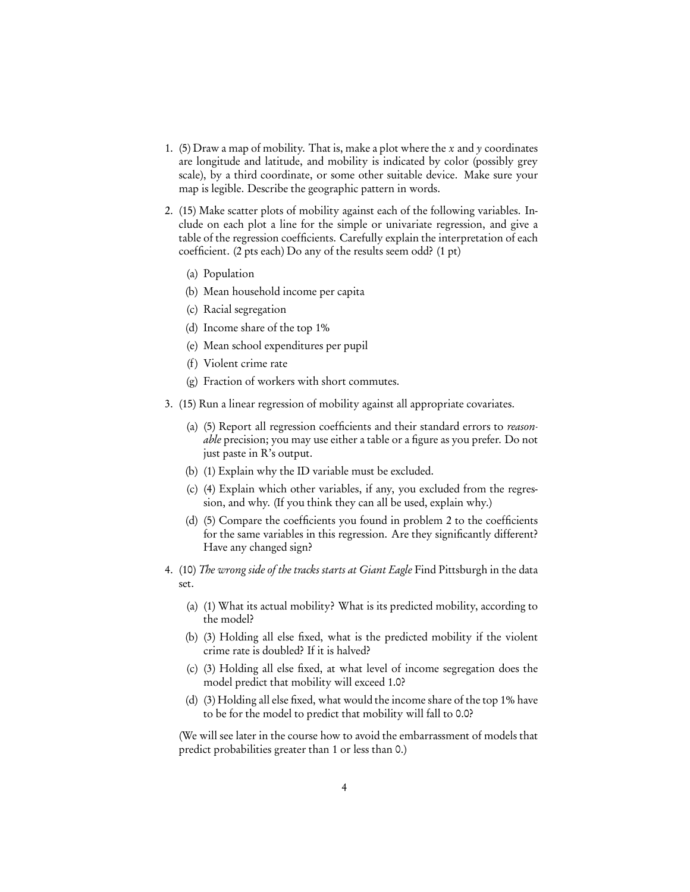- 1. (5) Draw a map of mobility. That is, make a plot where the x and y coordinates are longitude and latitude, and mobility is indicated by color (possibly grey scale), by a third coordinate, or some other suitable device. Make sure your map is legible. Describe the geographic pattern in words.
- 2. (15) Make scatter plots of mobility against each of the following variables. Include on each plot a line for the simple or univariate regression, and give a table of the regression coefficients. Carefully explain the interpretation of each coefficient. (2 pts each) Do any of the results seem odd? (1 pt)
	- (a) Population
	- (b) Mean household income per capita
	- (c) Racial segregation
	- (d) Income share of the top 1%
	- (e) Mean school expenditures per pupil
	- (f) Violent crime rate
	- (g) Fraction of workers with short commutes.
- 3. (15) Run a linear regression of mobility against all appropriate covariates.
	- (a) (5) Report all regression coefficients and their standard errors to reasonable precision; you may use either a table or a figure as you prefer. Do not just paste in R's output.
	- (b) (1) Explain why the ID variable must be excluded.
	- (c) (4) Explain which other variables, if any, you excluded from the regression, and why. (If you think they can all be used, explain why.)
	- (d) (5) Compare the coefficients you found in problem 2 to the coefficients for the same variables in this regression. Are they significantly different? Have any changed sign?
- 4. (10) The wrong side of the tracks starts at Giant Eagle Find Pittsburgh in the data set.
	- (a) (1) What its actual mobility? What is its predicted mobility, according to the model?
	- (b) (3) Holding all else fixed, what is the predicted mobility if the violent crime rate is doubled? If it is halved?
	- (c) (3) Holding all else fixed, at what level of income segregation does the model predict that mobility will exceed 1.0?
	- (d) (3) Holding all else fixed, what would the income share of the top 1% have to be for the model to predict that mobility will fall to 0.0?

(We will see later in the course how to avoid the embarrassment of models that predict probabilities greater than 1 or less than 0.)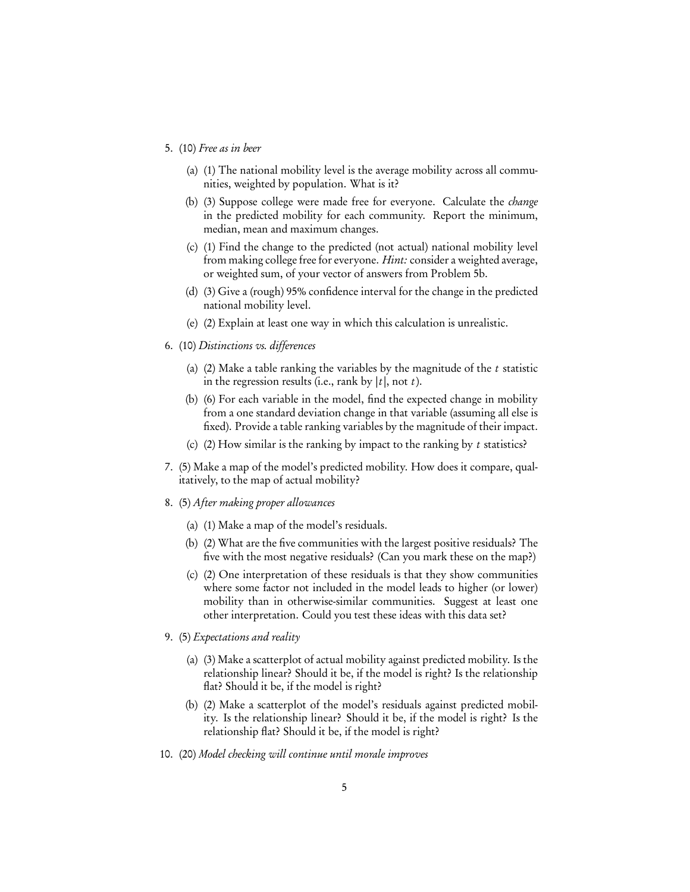- 5. (10) Free as in beer
	- (a) (1) The national mobility level is the average mobility across all communities, weighted by population. What is it?
	- (b) (3) Suppose college were made free for everyone. Calculate the change in the predicted mobility for each community. Report the minimum, median, mean and maximum changes.
	- (c) (1) Find the change to the predicted (not actual) national mobility level from making college free for everyone. *Hint:* consider a weighted average, or weighted sum, of your vector of answers from Problem 5b.
	- (d) (3) Give a (rough) 95% confidence interval for the change in the predicted national mobility level.
	- (e) (2) Explain at least one way in which this calculation is unrealistic.
- 6. (10) Distinctions vs. differences
	- (a) (2) Make a table ranking the variables by the magnitude of the  $t$  statistic in the regression results (i.e., rank by  $|t|$ , not t).
	- (b) (6) For each variable in the model, find the expected change in mobility from a one standard deviation change in that variable (assuming all else is fixed). Provide a table ranking variables by the magnitude of their impact.
	- (c) (2) How similar is the ranking by impact to the ranking by  $t$  statistics?
- 7. (5) Make a map of the model's predicted mobility. How does it compare, qualitatively, to the map of actual mobility?
- 8. (5) After making proper allowances
	- (a) (1) Make a map of the model's residuals.
	- (b) (2) What are the five communities with the largest positive residuals? The five with the most negative residuals? (Can you mark these on the map?)
	- (c) (2) One interpretation of these residuals is that they show communities where some factor not included in the model leads to higher (or lower) mobility than in otherwise-similar communities. Suggest at least one other interpretation. Could you test these ideas with this data set?
- 9. (5) Expectations and reality
	- (a) (3) Make a scatterplot of actual mobility against predicted mobility. Is the relationship linear? Should it be, if the model is right? Is the relationship flat? Should it be, if the model is right?
	- (b) (2) Make a scatterplot of the model's residuals against predicted mobility. Is the relationship linear? Should it be, if the model is right? Is the relationship flat? Should it be, if the model is right?
- 10. (20) Model checking will continue until morale improves